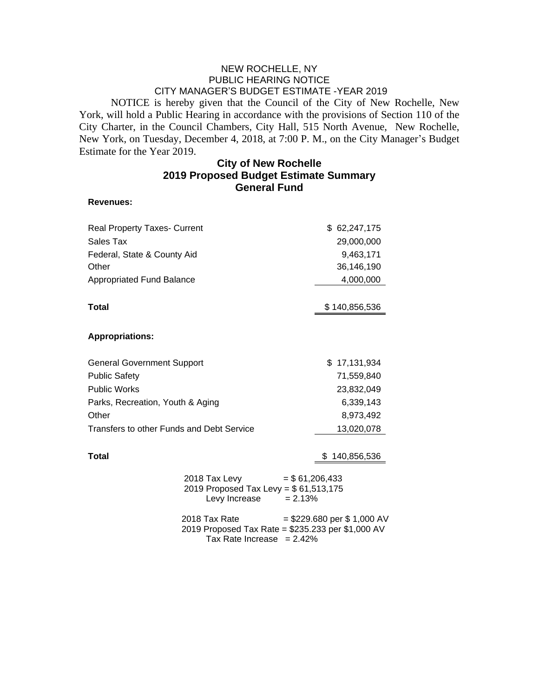## NEW ROCHELLE, NY PUBLIC HEARING NOTICE CITY MANAGER'S BUDGET ESTIMATE -YEAR 2019

NOTICE is hereby given that the Council of the City of New Rochelle, New York, will hold a Public Hearing in accordance with the provisions of Section 110 of the City Charter, in the Council Chambers, City Hall, 515 North Avenue, New Rochelle, New York, on Tuesday, December 4, 2018, at 7:00 P. M., on the City Manager's Budget Estimate for the Year 2019.

## **City of New Rochelle 2019 Proposed Budget Estimate Summary General Fund**

## **Revenues:**

| <b>Real Property Taxes- Current</b>                                                                                                |                                                                                                         | \$62,247,175  |
|------------------------------------------------------------------------------------------------------------------------------------|---------------------------------------------------------------------------------------------------------|---------------|
| Sales Tax                                                                                                                          |                                                                                                         | 29,000,000    |
| Federal, State & County Aid                                                                                                        |                                                                                                         | 9,463,171     |
| Other                                                                                                                              |                                                                                                         | 36,146,190    |
| <b>Appropriated Fund Balance</b>                                                                                                   |                                                                                                         | 4,000,000     |
| <b>Total</b>                                                                                                                       |                                                                                                         | \$140,856,536 |
| <b>Appropriations:</b>                                                                                                             |                                                                                                         |               |
| <b>General Government Support</b>                                                                                                  |                                                                                                         | \$17,131,934  |
| <b>Public Safety</b>                                                                                                               |                                                                                                         | 71,559,840    |
| <b>Public Works</b>                                                                                                                |                                                                                                         | 23,832,049    |
| Parks, Recreation, Youth & Aging                                                                                                   |                                                                                                         | 6,339,143     |
| Other                                                                                                                              |                                                                                                         | 8,973,492     |
| Transfers to other Funds and Debt Service                                                                                          |                                                                                                         | 13,020,078    |
| <b>Total</b>                                                                                                                       |                                                                                                         | 140,856,536   |
|                                                                                                                                    | 2018 Tax Levy<br>$= $61,206,433$<br>2019 Proposed Tax Levy = \$61,513,175<br>Levy Increase<br>$= 2.13%$ |               |
| $= $229.680$ per \$ 1,000 AV<br>2018 Tax Rate<br>2019 Proposed Tax Rate = \$235.233 per \$1,000 AV<br>Tax Rate Increase $= 2.42\%$ |                                                                                                         |               |